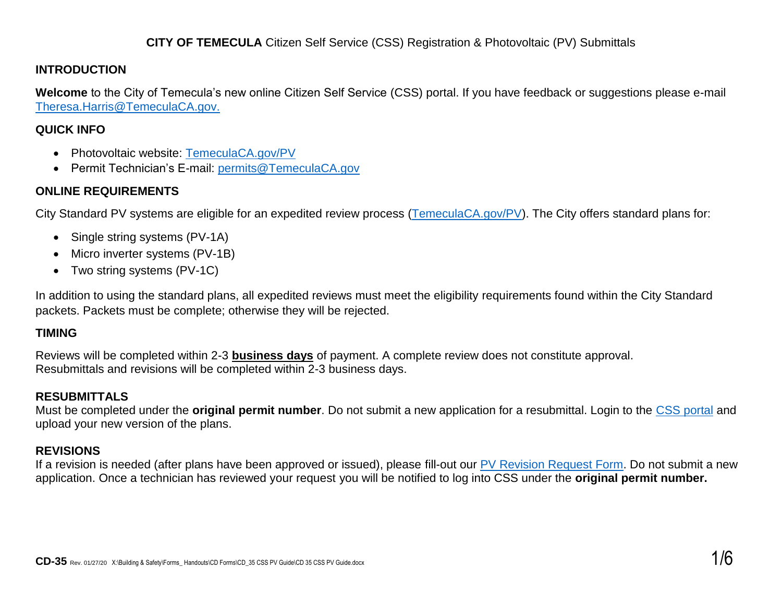#### **CITY OF TEMECULA** Citizen Self Service (CSS) Registration & Photovoltaic (PV) Submittals

#### **INTRODUCTION**

**Welcome** to the City of Temecula's new online Citizen Self Service (CSS) portal. If you have feedback or suggestions please e-mail [Theresa.Harris@TemeculaCA.gov.](mailto:Theresa.Harris@TemeculaCA.gov)

#### **QUICK INFO**

- Photovoltaic website: [TemeculaCA.gov/PV](http://www.temeculaca.gov/PV)
- Permit Technician's E-mail: [permits@TemeculaCA.gov](mailto:permits@TemeculaCA.gov)

### **ONLINE REQUIREMENTS**

City Standard PV systems are eligible for an expedited review process [\(TemeculaCA.gov/PV\)](http://www.temeculaca.gov/pv). The City offers standard plans for:

- Single string systems (PV-1A)
- Micro inverter systems (PV-1B)
- Two string systems (PV-1C)

In addition to using the standard plans, all expedited reviews must meet the eligibility requirements found within the City Standard packets. Packets must be complete; otherwise they will be rejected.

### **TIMING**

Reviews will be completed within 2-3 **business days** of payment. A complete review does not constitute approval. Resubmittals and revisions will be completed within 2-3 business days.

### **RESUBMITTALS**

Must be completed under the **original permit number**. Do not submit a new application for a resubmittal. Login to the [CSS portal](http://www.temeculaca.gov/CSS) and upload your new version of the plans.

# **REVISIONS**

If a revision is needed (after plans have been approved or issued), please fill-out our PV [Revision Request Form.](https://temeculaca.gov/FormCenter/Building-and-Safety-12/Photovoltaic-Revision-Request-Form-108) Do not submit a new application. Once a technician has reviewed your request you will be notified to log into CSS under the **original permit number.**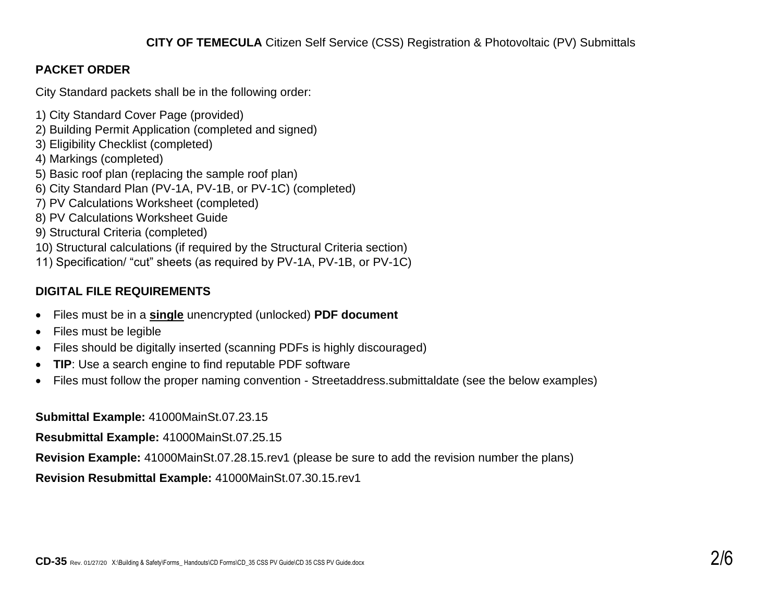# **PACKET ORDER**

City Standard packets shall be in the following order:

- 1) City Standard Cover Page (provided)
- 2) Building Permit Application (completed and signed)
- 3) Eligibility Checklist (completed)
- 4) Markings (completed)
- 5) Basic roof plan (replacing the sample roof plan)
- 6) City Standard Plan (PV-1A, PV-1B, or PV-1C) (completed)
- 7) PV Calculations Worksheet (completed)
- 8) PV Calculations Worksheet Guide
- 9) Structural Criteria (completed)
- 10) Structural calculations (if required by the Structural Criteria section)
- 11) Specification/ "cut" sheets (as required by PV-1A, PV-1B, or PV-1C)

# **DIGITAL FILE REQUIREMENTS**

- Files must be in a **single** unencrypted (unlocked) **PDF document**
- Files must be legible
- Files should be digitally inserted (scanning PDFs is highly discouraged)
- **TIP**: Use a search engine to find reputable PDF software
- Files must follow the proper naming convention Streetaddress.submittaldate (see the below examples)

**Submittal Example:** 41000MainSt.07.23.15

**Resubmittal Example:** 41000MainSt.07.25.15

**Revision Example:** 41000MainSt.07.28.15.rev1 (please be sure to add the revision number the plans)

**Revision Resubmittal Example:** 41000MainSt.07.30.15.rev1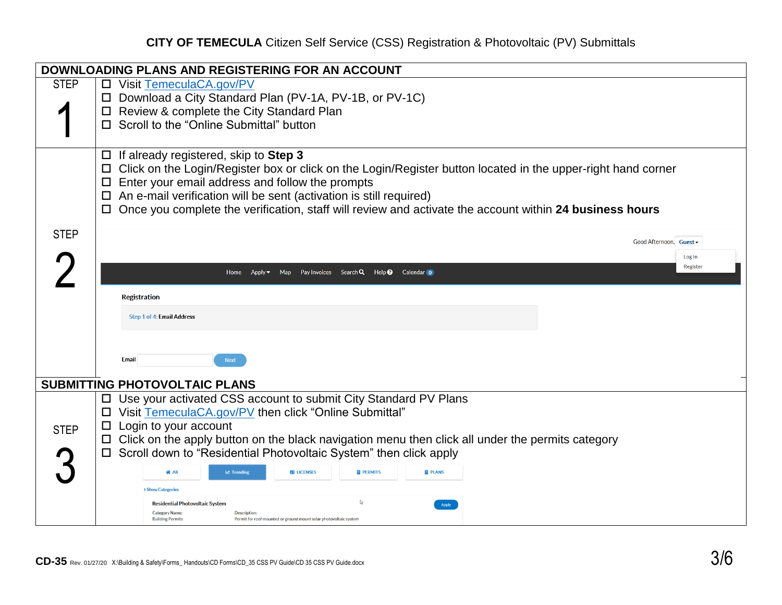# **CITY OF TEMECULA** Citizen Self Service (CSS) Registration & Photovoltaic (PV) Submittals

|             | DOWNLOADING PLANS AND REGISTERING FOR AN ACCOUNT                                                                                      |          |
|-------------|---------------------------------------------------------------------------------------------------------------------------------------|----------|
| <b>STEP</b> | □ Visit TemeculaCA.gov/PV                                                                                                             |          |
|             | □ Download a City Standard Plan (PV-1A, PV-1B, or PV-1C)                                                                              |          |
|             | □ Review & complete the City Standard Plan                                                                                            |          |
|             | Scroll to the "Online Submittal" button                                                                                               |          |
|             |                                                                                                                                       |          |
|             | If already registered, skip to Step 3<br>$\Box$                                                                                       |          |
|             | Click on the Login/Register box or click on the Login/Register button located in the upper-right hand corner<br>ப                     |          |
|             | Enter your email address and follow the prompts<br>$\Box$                                                                             |          |
|             | $\Box$ An e-mail verification will be sent (activation is still required)                                                             |          |
|             | Once you complete the verification, staff will review and activate the account within 24 business hours                               |          |
| <b>STEP</b> |                                                                                                                                       |          |
|             | Good Afternoon, Guest -                                                                                                               |          |
|             |                                                                                                                                       | Log In   |
|             | Map Pay Invoices Search Q Help @ Calendar o<br>Apply $\blacktriangleright$                                                            | Register |
|             |                                                                                                                                       |          |
|             | <b>Registration</b>                                                                                                                   |          |
|             | Step 1 of 4: Email Address                                                                                                            |          |
|             |                                                                                                                                       |          |
|             |                                                                                                                                       |          |
|             | <b>Email</b><br><b>Next</b>                                                                                                           |          |
|             |                                                                                                                                       |          |
|             | <b>SUBMITTING PHOTOVOLTAIC PLANS</b>                                                                                                  |          |
|             | Use your activated CSS account to submit City Standard PV Plans<br>$\Box$                                                             |          |
|             | □ Visit TemeculaCA.gov/PV then click "Online Submittal"                                                                               |          |
| <b>STEP</b> | Login to your account<br>$\Box$                                                                                                       |          |
|             | $\Box$ Click on the apply button on the black navigation menu then click all under the permits category                               |          |
|             | Scroll down to "Residential Photovoltaic System" then click apply                                                                     |          |
|             | <b>ED LICENSES</b><br><b>III</b> PERMITS<br><b>圓 PLANS</b><br><b>Le Trending</b>                                                      |          |
|             | <b>&gt; Show Categories</b>                                                                                                           |          |
|             | <b>Residential Photovoltaic System</b><br>Apply                                                                                       |          |
|             | <b>Category Name:</b><br>Description:<br><b>Building Permits</b><br>Permit for roof mounted or ground mount solar photovoltaic systen |          |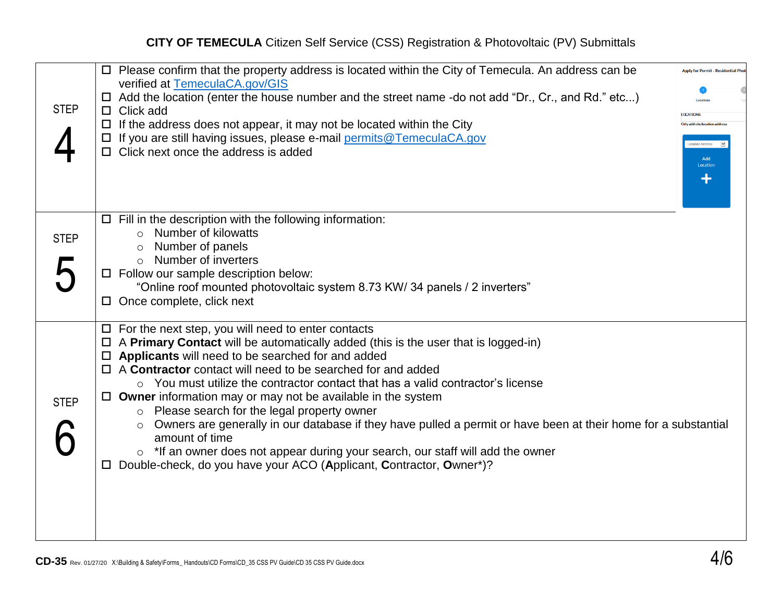| <b>STEP</b> | $\Box$ Please confirm that the property address is located within the City of Temecula. An address can be<br>verified at TemeculaCA.gov/GIS<br>$\Box$ Add the location (enter the house number and the street name -do not add "Dr., Cr., and Rd." etc)<br>$\Box$ Click add<br>$\Box$ If the address does not appear, it may not be located within the City<br>□ If you are still having issues, please e-mail permits@TemeculaCA.gov<br>$\Box$ Click next once the address is added                                                                                                                                                                                                                                                                                                                                                        | <b>Apply for Permit - Residential Phe</b><br><b>OCATIONS</b><br>e anitrand site location<br>cation Address<br>Add<br>Locatio |
|-------------|---------------------------------------------------------------------------------------------------------------------------------------------------------------------------------------------------------------------------------------------------------------------------------------------------------------------------------------------------------------------------------------------------------------------------------------------------------------------------------------------------------------------------------------------------------------------------------------------------------------------------------------------------------------------------------------------------------------------------------------------------------------------------------------------------------------------------------------------|------------------------------------------------------------------------------------------------------------------------------|
| <b>STEP</b> | $\Box$ Fill in the description with the following information:<br>Number of kilowatts<br>$\circ$<br>Number of panels<br>$\circ$ Number of inverters<br>Follow our sample description below:<br>ப<br>"Online roof mounted photovoltaic system 8.73 KW/ 34 panels / 2 inverters"<br>$\Box$ Once complete, click next                                                                                                                                                                                                                                                                                                                                                                                                                                                                                                                          |                                                                                                                              |
| <b>STEP</b> | $\Box$ For the next step, you will need to enter contacts<br>$\Box$ A <b>Primary Contact</b> will be automatically added (this is the user that is logged-in)<br>$\Box$ Applicants will need to be searched for and added<br>$\Box$ A Contractor contact will need to be searched for and added<br>$\circ$ You must utilize the contractor contact that has a valid contractor's license<br>$\Box$ Owner information may or may not be available in the system<br>Please search for the legal property owner<br>$\circ$<br>Owners are generally in our database if they have pulled a permit or have been at their home for a substantial<br>$\circ$<br>amount of time<br>$\circ$ *If an owner does not appear during your search, our staff will add the owner<br>Double-check, do you have your ACO (Applicant, Contractor, Owner*)?<br>ப |                                                                                                                              |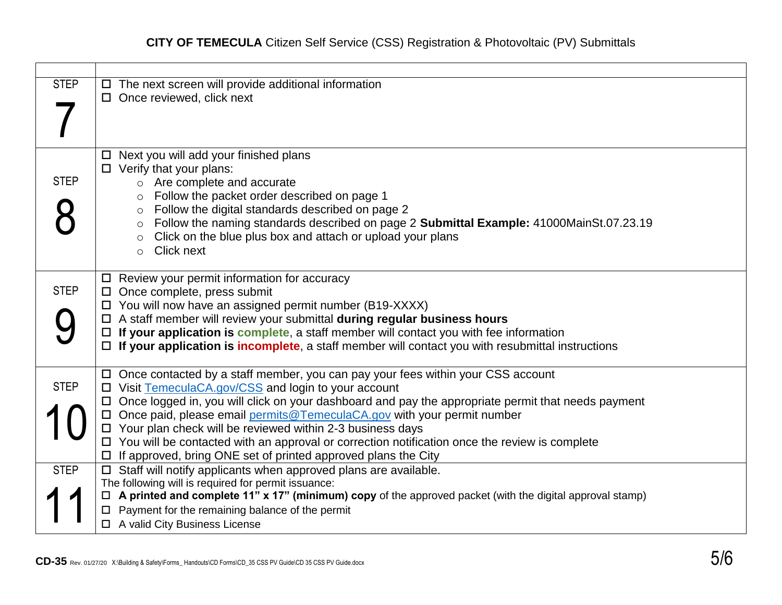| <b>STEP</b> | $\Box$ The next screen will provide additional information<br>$\Box$ Once reviewed, click next                                                                                                                                                                                                                                                                                                                                                                                                                                                                                                      |
|-------------|-----------------------------------------------------------------------------------------------------------------------------------------------------------------------------------------------------------------------------------------------------------------------------------------------------------------------------------------------------------------------------------------------------------------------------------------------------------------------------------------------------------------------------------------------------------------------------------------------------|
| <b>STEP</b> | Next you will add your finished plans<br>$\Box$<br>$\Box$ Verify that your plans:<br>Are complete and accurate<br>$\circ$<br>Follow the packet order described on page 1<br>$\circ$<br>Follow the digital standards described on page 2<br>$\circ$<br>Follow the naming standards described on page 2 Submittal Example: 41000MainSt.07.23.19<br>$\circ$<br>Click on the blue plus box and attach or upload your plans<br><b>Click next</b><br>$\circ$                                                                                                                                              |
| <b>STEP</b> | $\Box$ Review your permit information for accuracy<br>$\Box$ Once complete, press submit<br>$\Box$ You will now have an assigned permit number (B19-XXXX)<br>□ A staff member will review your submittal during regular business hours<br>If your application is complete, a staff member will contact you with fee information<br>$\Box$<br>$\Box$ If your application is incomplete, a staff member will contact you with resubmittal instructions                                                                                                                                                |
| <b>STEP</b> | $\Box$ Once contacted by a staff member, you can pay your fees within your CSS account<br>$\Box$ Visit TemeculaCA.gov/CSS and login to your account<br>Once logged in, you will click on your dashboard and pay the appropriate permit that needs payment<br>$\Box$<br>□ Once paid, please email permits@TemeculaCA.gov with your permit number<br>$\Box$ Your plan check will be reviewed within 2-3 business days<br>$\Box$ You will be contacted with an approval or correction notification once the review is complete<br>$\Box$ If approved, bring ONE set of printed approved plans the City |
| <b>STEP</b> | $\Box$ Staff will notify applicants when approved plans are available.<br>The following will is required for permit issuance:<br>$\Box$ A printed and complete 11" x 17" (minimum) copy of the approved packet (with the digital approval stamp)<br>Payment for the remaining balance of the permit<br>□ A valid City Business License                                                                                                                                                                                                                                                              |

 $\blacksquare$ 

Т